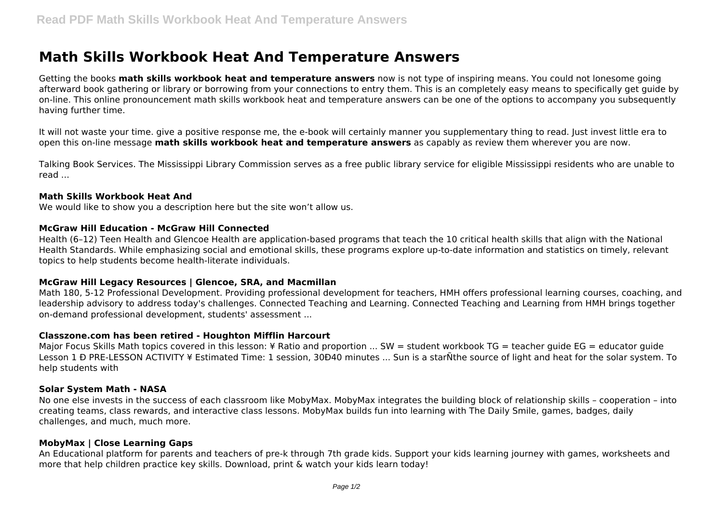# **Math Skills Workbook Heat And Temperature Answers**

Getting the books **math skills workbook heat and temperature answers** now is not type of inspiring means. You could not lonesome going afterward book gathering or library or borrowing from your connections to entry them. This is an completely easy means to specifically get guide by on-line. This online pronouncement math skills workbook heat and temperature answers can be one of the options to accompany you subsequently having further time.

It will not waste your time. give a positive response me, the e-book will certainly manner you supplementary thing to read. Just invest little era to open this on-line message **math skills workbook heat and temperature answers** as capably as review them wherever you are now.

Talking Book Services. The Mississippi Library Commission serves as a free public library service for eligible Mississippi residents who are unable to read ...

## **Math Skills Workbook Heat And**

We would like to show you a description here but the site won't allow us.

# **McGraw Hill Education - McGraw Hill Connected**

Health (6–12) Teen Health and Glencoe Health are application-based programs that teach the 10 critical health skills that align with the National Health Standards. While emphasizing social and emotional skills, these programs explore up-to-date information and statistics on timely, relevant topics to help students become health-literate individuals.

# **McGraw Hill Legacy Resources | Glencoe, SRA, and Macmillan**

Math 180, 5-12 Professional Development. Providing professional development for teachers, HMH offers professional learning courses, coaching, and leadership advisory to address today's challenges. Connected Teaching and Learning. Connected Teaching and Learning from HMH brings together on-demand professional development, students' assessment ...

# **Classzone.com has been retired - Houghton Mifflin Harcourt**

Major Focus Skills Math topics covered in this lesson: ¥ Ratio and proportion ... SW = student workbook TG = teacher quide EG = educator quide Lesson 1 Ð PRE-LESSON ACTIVITY ¥ Estimated Time: 1 session, 30Ð40 minutes ... Sun is a starÑthe source of light and heat for the solar system. To help students with

# **Solar System Math - NASA**

No one else invests in the success of each classroom like MobyMax. MobyMax integrates the building block of relationship skills – cooperation – into creating teams, class rewards, and interactive class lessons. MobyMax builds fun into learning with The Daily Smile, games, badges, daily challenges, and much, much more.

# **MobyMax | Close Learning Gaps**

An Educational platform for parents and teachers of pre-k through 7th grade kids. Support your kids learning journey with games, worksheets and more that help children practice key skills. Download, print & watch your kids learn today!